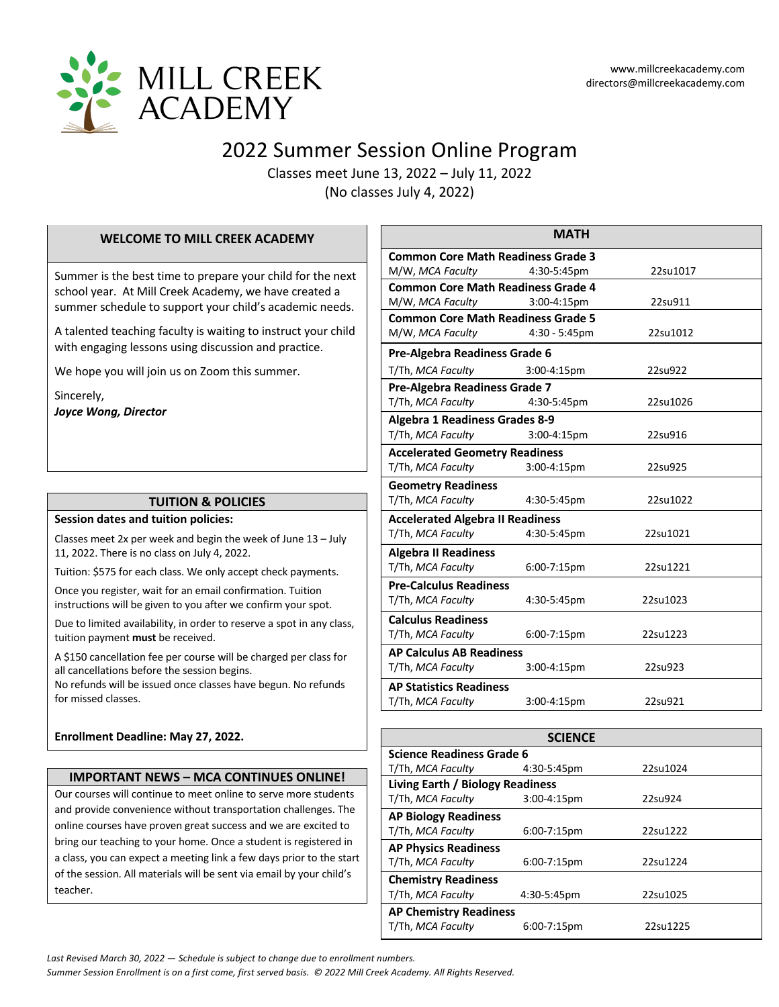

# 2022 Summer Session Online Program

Classes meet June 13, 2022 – July 11, 2022 (No classes July 4, 2022)

#### **WELCOME TO MILL CREEK ACADEMY**

Summer is the best time to prepare your child for the next school year. At Mill Creek Academy, we have created a summer schedule to support your child's academic needs.

A talented teaching faculty is waiting to instruct your child with engaging lessons using discussion and practice.

We hope you will join us on Zoom this summer.

Sincerely, *Joyce Wong, Director*

# **TUITION & POLICIES**

#### **Session dates and tuition policies:**

Classes meet 2x per week and begin the week of June 13 – July 11, 2022. There is no class on July 4, 2022.

Tuition: \$575 for each class. We only accept check payments.

Once you register, wait for an email confirmation. Tuition instructions will be given to you after we confirm your spot.

Due to limited availability, in order to reserve a spot in any class, tuition payment **must** be received.

A \$150 cancellation fee per course will be charged per class for all cancellations before the session begins.

No refunds will be issued once classes have begun. No refunds for missed classes.

#### **Enrollment Deadline: May 27, 2022.**

#### **IMPORTANT NEWS – MCA CONTINUES ONLINE!**

Our courses will continue to meet online to serve more students and provide convenience without transportation challenges. The online courses have proven great success and we are excited to bring our teaching to your home. Once a student is registered in a class, you can expect a meeting link a few days prior to the start of the session. All materials will be sent via email by your child's teacher.

|                                           | <b>MATH</b>      |          |  |
|-------------------------------------------|------------------|----------|--|
| <b>Common Core Math Readiness Grade 3</b> |                  |          |  |
| M/W, MCA Faculty                          | 4:30-5:45pm      | 22su1017 |  |
| <b>Common Core Math Readiness Grade 4</b> |                  |          |  |
| M/W, MCA Faculty                          | 3:00-4:15pm      | 22su911  |  |
| <b>Common Core Math Readiness Grade 5</b> |                  |          |  |
| M/W, MCA Faculty                          | 4:30 - 5:45pm    | 22su1012 |  |
| <b>Pre-Algebra Readiness Grade 6</b>      |                  |          |  |
| T/Th, MCA Faculty                         | 3:00-4:15pm      | 22su922  |  |
| Pre-Algebra Readiness Grade 7             |                  |          |  |
| T/Th, MCA Faculty                         | 4:30-5:45pm      | 22su1026 |  |
| <b>Algebra 1 Readiness Grades 8-9</b>     |                  |          |  |
| T/Th, MCA Faculty                         | $3:00 - 4:15$ pm | 22su916  |  |
| <b>Accelerated Geometry Readiness</b>     |                  |          |  |
| T/Th, MCA Faculty                         | 3:00-4:15pm      | 22su925  |  |
| <b>Geometry Readiness</b>                 |                  |          |  |
| T/Th, MCA Faculty                         | 4:30-5:45pm      | 22su1022 |  |
| <b>Accelerated Algebra II Readiness</b>   |                  |          |  |
| T/Th, MCA Faculty                         | 4:30-5:45pm      | 22su1021 |  |
| <b>Algebra II Readiness</b>               |                  |          |  |
| T/Th, MCA Faculty                         | 6:00-7:15pm      | 22su1221 |  |
| <b>Pre-Calculus Readiness</b>             |                  |          |  |
| T/Th, MCA Faculty                         | 4:30-5:45pm      | 22su1023 |  |
| <b>Calculus Readiness</b>                 |                  |          |  |
| T/Th, MCA Faculty                         | 6:00-7:15pm      | 22su1223 |  |
| <b>AP Calculus AB Readiness</b>           |                  |          |  |
| T/Th, MCA Faculty                         | 3:00-4:15pm      | 22su923  |  |
| <b>AP Statistics Readiness</b>            |                  |          |  |
| T/Th, MCA Faculty                         | 3:00-4:15pm      | 22su921  |  |

| <b>SCIENCE</b>                   |                  |          |  |  |
|----------------------------------|------------------|----------|--|--|
| <b>Science Readiness Grade 6</b> |                  |          |  |  |
| T/Th, MCA Faculty                | 4:30-5:45pm      | 22su1024 |  |  |
| Living Earth / Biology Readiness |                  |          |  |  |
| T/Th, MCA Faculty                | $3:00 - 4:15$ pm | 22su924  |  |  |
| <b>AP Biology Readiness</b>      |                  |          |  |  |
| T/Th, MCA Faculty                | $6:00 - 7:15$ pm | 22su1222 |  |  |
| <b>AP Physics Readiness</b>      |                  |          |  |  |
| T/Th, MCA Faculty                | $6:00 - 7:15$ pm | 22su1224 |  |  |
| <b>Chemistry Readiness</b>       |                  |          |  |  |
| T/Th, MCA Faculty                | 4:30-5:45pm      | 22su1025 |  |  |
| <b>AP Chemistry Readiness</b>    |                  |          |  |  |
| T/Th, MCA Faculty                | $6:00 - 7:15$ pm | 22su1225 |  |  |

*Last Revised March 30, 2022 — Schedule is subject to change due to enrollment numbers.* 

*Summer Session Enrollment is on a first come, first served basis. © 2022 Mill Creek Academy. All Rights Reserved.*